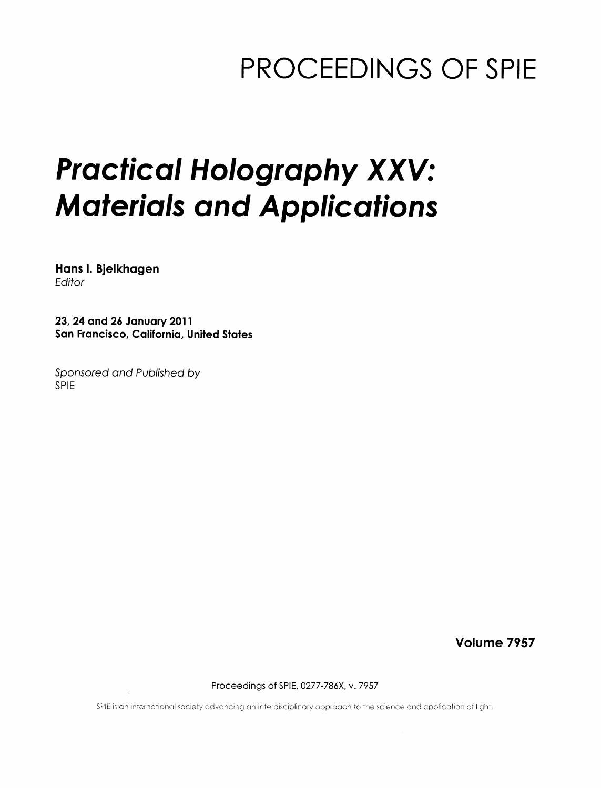## PROCEEDINGS OF SPIE

# Practical Holography XXV: Materials and Applications

Hans I. Bjelkhagen Editor

23, 24 and 26 January 2011 San Francisco, California, United States

Sponsored and Published by SPIE

Volume 7957

Proceedings of SPIE, 0277-786X, v. 7957

SPIE is an international society advancing an interdisciplinary approach to the science and application of light.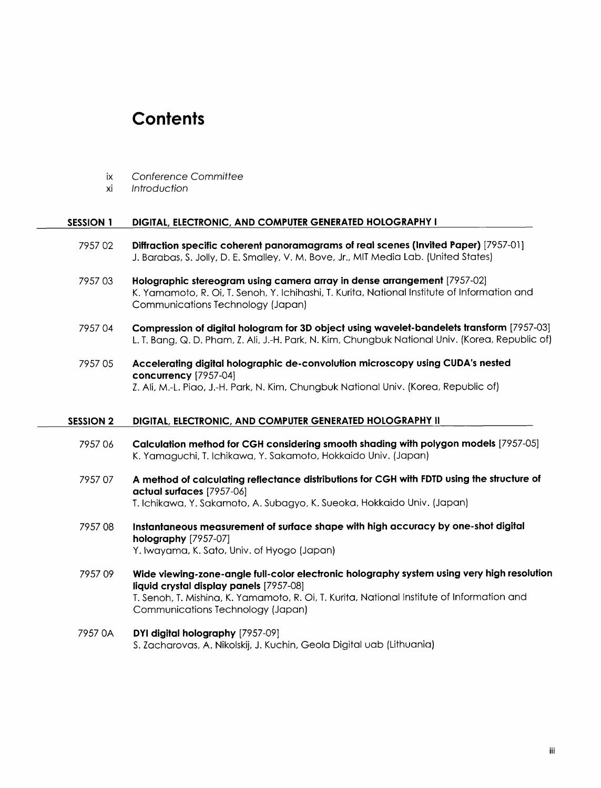### **Contents**

- ix Conference Committee
- xi Introduction

#### SESSION <sup>1</sup> DIGITAL, ELECTRONIC, AND COMPUTER GENERATED HOLOGRAPHY <sup>I</sup>

- 7957 02 Diffraction specific coherent panoramagrams of real scenes (Invited Paper) [7957-01] J. Barabas, S. Jolly, D. E. Smalley, V. M. Bove, Jr., MIT Media Lab. (United States)
- 7957 03 Holographic stereogram using camera array in dense arrangement [7957-02] K. Yamamoto, R. Oi, T. Senoh, Y. Ichihashi, T. Kurita, National Institute of Information and Communications Technology (Japan)
- 7957 04 Compression of digital hologram for 3D object using wavelet-bandelets transform [7957-03] L T. Bang, Q. D. Pham, Z. Ali, J.-H. Park, N. Kim, Chungbuk National Univ. (Korea, Republic of)
- 7957 05 Accelerating digital holographic de-convolution microscopy using CUDA's nested concurrency [7957-04] Z. Ali, M.-L. Piao, J.-H. Park, N. Kim, Chungbuk National Univ. (Korea, Republic of)

#### SESSION <sup>2</sup> DIGITAL, ELECTRONIC, AND COMPUTER GENERATED HOLOGRAPHY II

- <sup>7957</sup> <sup>06</sup> Calculation method for CGH considering smooth shading with polygon models [7957-05] K. Yamaguchi, T. Ichikawa, Y. Sakamoto, Hokkaido Univ. (Japan)
- <sup>7957</sup> <sup>07</sup> A method of calculating reflectance distributions for CGH with FDTD using the structure of actual surfaces [7957-06] T. Ichikawa, Y. Sakamoto, A. Subagyo, K. Sueoka, Hokkaido Univ. (Japan)
- 7957 08 Instantaneous measurement of surface shape with high accuracy by one-shot digital holography [7957-07] Y. Iwayama, K. Sato, Univ. of Hyogo (Japan)
- 7957 09 Wide viewing-zone-angle full-color electronic holography system using very high resolution liquid crystal display panels [7957-08] T. Senoh, T. Mishina, K. Yamamoto, R. Oi, T. Kurita, National Institute of Information and Communications Technology (Japan)
- 7957 OA DYI digital holography [7957-09] S. Zacharovas, A. Nikolskij, J. Kuchin, Geola Digital uab (Lithuania)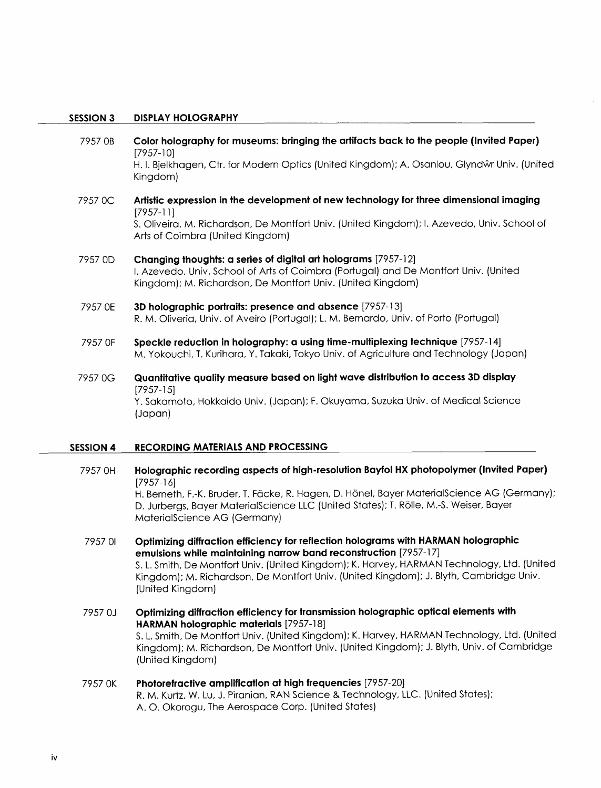#### SESSION <sup>3</sup> DISPLAY HOLOGRAPHY

- 7957 OB Color holography for museums: bringing the artifacts back to the people (Invited Paper) [7957-10] H. I. Bjelkhagen, Ctr. for Modern Optics (United Kingdom); A. Osanlou, Glyndŵr Univ. (United Kingdom) 7957 OC Artistic expression in the development of new technology for three dimensional imaging [7957-11] S. Oliveira, M. Richardson, De Montfort Univ. (United Kingdom); 1. Azevedo, Univ. School of Arts of Coimbra (United Kingdom) <sup>7957</sup> OD Changing thoughts: a series of digital art holograms [7957-12] 1. Azevedo, Univ. School of Arts of Coimbra (Portugal) and De Montfort Univ. (United
- Kingdom); M. Richardson, De Montfort Univ. (United Kingdom)
- 7957 OE 3D holographic portraits: presence and absence [7957-13] R. M. Oliveria, Univ. of Aveiro (Portugal); L. M. Bernardo, Univ. of Porto (Portugal)
- 7957 OF Speckle reduction in holography: a using time-multiplexing technique [7957-14] M. Yokouchi, T. Kurihara, Y. Takaki, Tokyo Univ. of Agriculture and Technology (Japan)
- <sup>7957</sup> OG Quantitative quality measure based on light wave distribution to access 3D display [7957-15] Y. Sakamoto, Hokkaido Univ. (Japan); F. Okuyama, Suzuka Univ. of Medical Science (Japan)

#### SESSION <sup>4</sup> RECORDING MATERIALS AND PROCESSING

- <sup>7957</sup> OH Holographic recording aspects of high-resolution Bayfol HX photopolymer (Invited Paper) [7957-16] H. Berneth, F.-K. Bruder, T. Fäcke, R. Hagen, D. Hönel, Bayer MaterialScience AG (Germany); D. Jurbergs, Bayer MaterialScience LLC (United States); T. Rolle, M.-S. Weiser, Bayer MaterialScience AG (Germany)
- <sup>7957</sup> <sup>01</sup> Optimizing diffraction efficiency for reflection holograms with HARMAN holographic emulsions while maintaining narrow band reconstruction [7957-17] S. L. Smith, De Montfort Univ. (United Kingdom); K. Harvey, HARMAN Technology, Ltd. (United Kingdom); M. Richardson, De Montfort Univ. (United Kingdom); J. Blyth, Cambridge Univ. (United Kingdom)
- 7957 OJ Optimizing diffraction efficiency for transmission holographic optical elements with HARMAN holographic materials [7957-18] S. L. Smith, De Montfort Univ. (United Kingdom); K. Harvey, HARMAN Technology, Ltd. (United Kingdom); M. Richardson, De Montfort Univ. (United Kingdom); J. Blyth, Univ. of Cambridge (United Kingdom)
- 7957 OK Photorefractive amplification at high frequencies [7957-20] R. M. Kurtz, W. Lu, J. Piranian, RAN Science & Technology, LLC. (United States); A. O. Okorogu, The Aerospace Corp. (United States)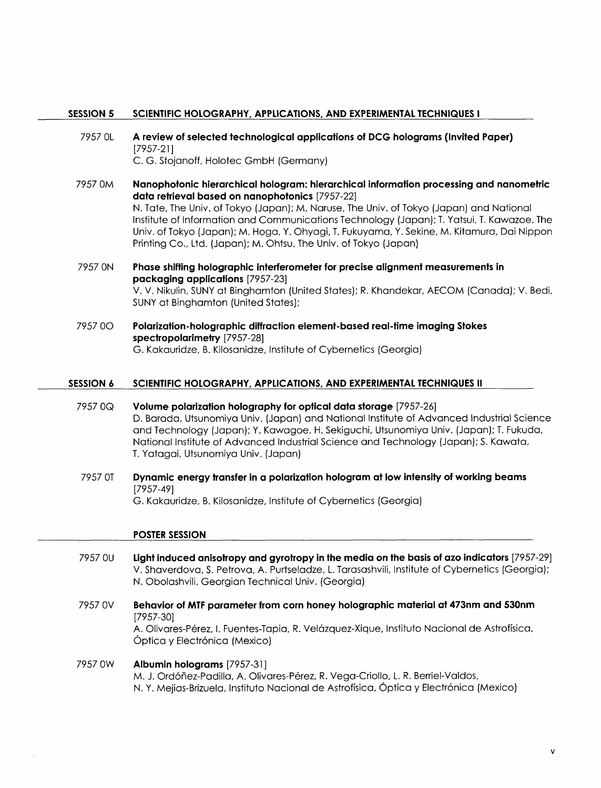#### SESSION <sup>5</sup> SCIENTIFIC HOLOGRAPHY, APPLICATIONS, AND EXPERIMENTAL TECHNIQUES <sup>I</sup>

- <sup>7957</sup> OL A review of selected technological applications of DCG holograms (Invited Paper) [7957-21] C. G. Stojanoff, Holotec GmbH (Germany)
- 7957 OM Nanophotonic hierarchical hologram: hierarchical information processing and nanometric data retrieval based on nanophotonics [7957-22] N. Tate, The Univ. of Tokyo (Japan); M. Naruse, The Univ. of Tokyo (Japan) and National Institute of Information and Communications Technology (Japan); T. Yatsui, T. Kawazoe, The Univ. of Tokyo (Japan); M. Hoga, Y. Ohyagi, T. Fukuyama, Y. Sekine, M. Kitamura, Dai Nippon Printing Co., Ltd. (Japan); M. Ohtsu, The Univ. of Tokyo (Japan)
- 7957 ON Phase shifting holographic interferometer for precise alignment measurements in packaging applications [7957-23] V. V. Nikulin, SUNY at Binghamton (United States); R. Khandekar, AECOM (Canada); V. Bedi, SUNY at Binghamton (United States);
- <sup>7957</sup> OO Polarization-holographic diffraction element-based real-time imaging Stokes spectropolarimetry [7957-28] G. Kakauridze, B. Kilosanidze, Institute of Cybernetics (Georgia)

#### SESSION <sup>6</sup> SCIENTIFIC HOLOGRAPHY, APPLICATIONS, AND EXPERIMENTAL TECHNIQUES II

- 7957 OQ Volume polarization holography for optical data storage [7957-26] D. Barada, Utsunomiya Univ. (Japan) and National Institute of Advanced Industrial Science and Technology (Japan); Y. Kawagoe, H. Sekiguchi, Utsunomiya Univ. (Japan); T. Fukuda, National Institute of Advanced Industrial Science and Technology (Japan); S. Kawata, T. Yatagai, Utsunomiya Univ. (Japan)
- <sup>7957</sup> OT Dynamic energy transfer in a polarization hologram at low intensity of working beams [7957-49] G. Kakauridze, B. Kilosanidze, Institute of Cybernetics (Georgia)

#### POSTER SESSION

- 7957 OU Light induced anisotropy and gyrotropy in the media on the basis of azo indicators [7957-29] V. Shaverdova, S. Petrova, A. Purtseladze, L. Tarasashvili, Institute of Cybernetics (Georgia); N. Obolashvili, Georgian Technical Univ. (Georgia)
- <sup>7957</sup> OV Behavior of MTF parameter from corn honey holographic material at 473nm and 530nm [7957-30] A. Olivares-Pérez, I. Fuentes-Tapia, R. Velázquez-Xique, Instituto Nacional de Astrofísica, Óptica y Electrónica (Mexico)

#### 7957 0W **Albumin holograms** [7957-31] M. J. Ordóñez-Padilla, A. Olivares-Pérez, R. Vega-Criollo, L. R. Berriel-Valdos, N. Y. Mejias-Brizuela, Instituto Nacional de Astroffsica, Optica y Electronica (Mexico)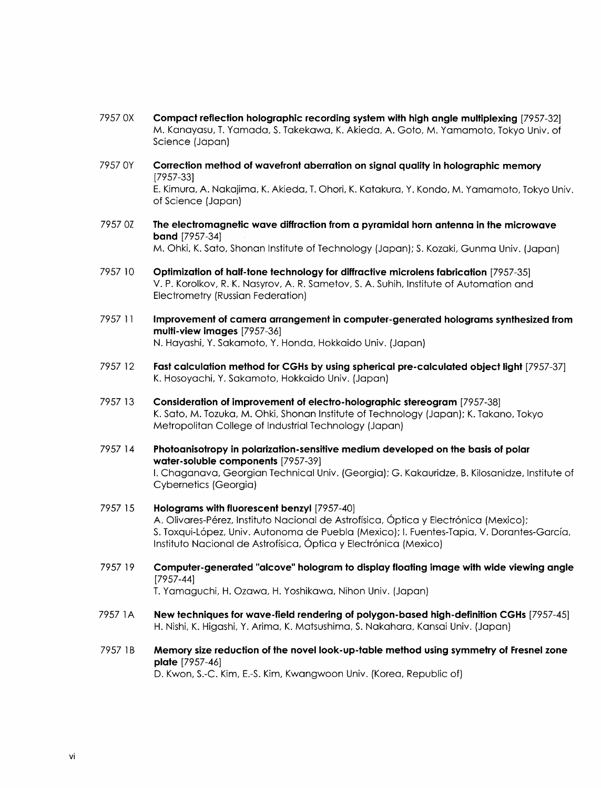- 7957 OX Compact reflection holographic recording system with high angle multiplexing [7957-32] M. Kanayasu, T. Yamada S. Takekawa, K. Akieda, A. Goto, M. Yamamoto, Tokyo Univ. of Science (Japan)
- <sup>7957</sup> OY Correction method of wavefront aberration on signal quality in holographic memory [7957-33] E. Kimura, A. Nakajima, K. Akieda, T. Ohori, K. Katakura, Y. Kondo, M. Yamamoto, Tokyo Univ. of Science (Japan)
- 7957 OZ The electromagnetic wave diffraction from a pyramidal horn antenna in the microwave band [7957-34] M. Ohki, K. Sato, Shonan Institute of Technology (Japan); S. Kozaki, Gunma Univ. (Japan)
- 7957 10 Optimization of half-tone technology for diffractive microlens fabrication [7957-35] V. P. Korolkov, R. K. Nasyrov, A. R. Sametov, S. A. Suhih, Institute of Automation and Electrometry (Russian Federation)
- 7957 <sup>11</sup> Improvement of camera arrangement in computer-generated holograms synthesized from multi-view images [7957-36] N. Hayashi, Y. Sakamoto, Y. Honda, Hokkaido Univ. (Japan)
- 7957 <sup>12</sup> Fast calculation method for CGHs by using spherical pre-calculated object light [7957-37] K. Hosoyachi, Y. Sakamoto, Hokkaido Univ. (Japan)
- 7957 <sup>13</sup> Consideration of improvement of electro-holographic stereogram [7957-38] K. Sato, M. Tozuka, M. Ohki, Shonan Institute of Technology (Japan); K. Takano, Tokyo Metropolitan College of Industrial Technology (Japan)
- 7957 <sup>14</sup> Photoanisotropy in polarization-sensitive medium developed on the basis of polar water-soluble components [7957-39] I. Chaganava, Georgian Technical Univ. (Georgia); G. Kakauridze, B. Kilosanidze, Institute of Cybernetics (Georgia)
- 7957 15 Holograms with fluorescent benzyl [7957-40] A. Olivares-Pérez, Instituto Nacional de Astrofísica, Óptica y Electrónica (Mexico); S. Toxqui-Lopez, Univ. Autonoma de Puebla (Mexico); I. Fuentes-Tapia, V. Dorantes-Garcia, Instituto Nacional de Astrofísica, Óptica y Electrónica (Mexico)
- 7957 <sup>19</sup> Computer-generated "alcove" hologram to display floating image with wide viewing angle [7957-44]

T. Yamaguchi, H. Ozawa, H. Yoshikawa, Nihon Univ. (Japan)

- 7957 1A New techniques for wave-field rendering of polygon-based high-definition CGHs [7957-45] H. Nishi, K. Higashi, Y. Arima, K. Matsushima, S. Nakahara, Kansai Univ. (Japan)
- 7957 1B Memory size reduction of the novel look-up-table method using symmetry of Fresnel zone plate [7957-46]

D. Kwon, S.-C. Kim, E.-S. Kim, Kwangwoon Univ. (Korea, Republic of)